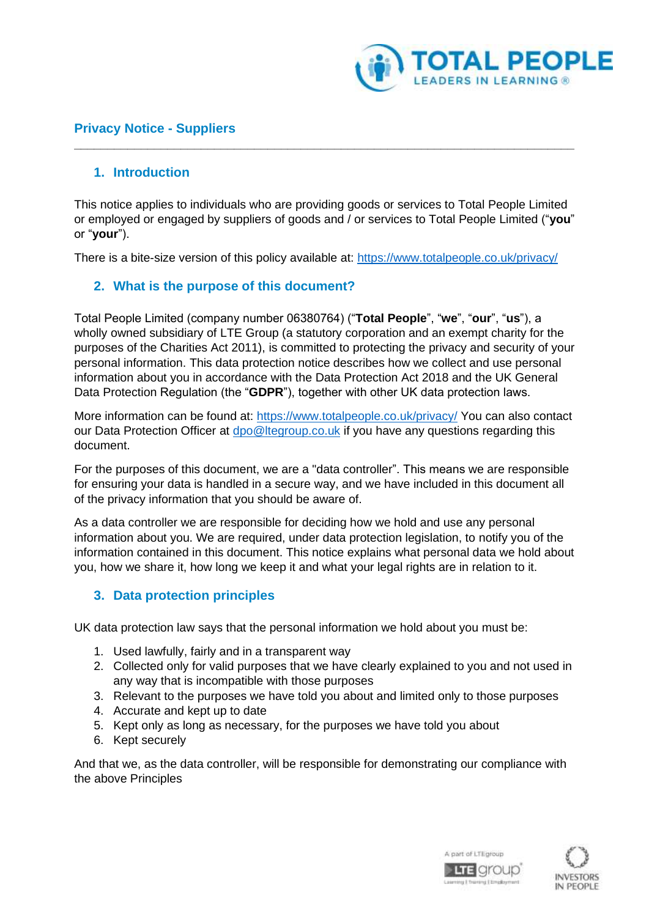

## **Privacy Notice - Suppliers**

### **1. Introduction**

This notice applies to individuals who are providing goods or services to Total People Limited or employed or engaged by suppliers of goods and / or services to Total People Limited ("**you**" or "**your**").

**\_\_\_\_\_\_\_\_\_\_\_\_\_\_\_\_\_\_\_\_\_\_\_\_\_\_\_\_\_\_\_\_\_\_\_\_\_\_\_\_\_\_\_\_\_\_\_\_\_\_\_\_\_\_\_\_\_\_\_\_\_\_\_\_\_\_\_\_\_\_\_\_\_\_\_**

There is a bite-size version of this policy available at: <https://www.totalpeople.co.uk/privacy/>

## **2. What is the purpose of this document?**

Total People Limited (company number 06380764) ("**Total People**", "**we**", "**our**", "**us**"), a wholly owned subsidiary of LTE Group (a statutory corporation and an exempt charity for the purposes of the Charities Act 2011), is committed to protecting the privacy and security of your personal information. This data protection notice describes how we collect and use personal information about you in accordance with the Data Protection Act 2018 and the UK General Data Protection Regulation (the "**GDPR**"), together with other UK data protection laws.

More information can be found at:<https://www.totalpeople.co.uk/privacy/> You can also contact our Data Protection Officer at [dpo@ltegroup.co.uk](mailto:dpo@ltegroup.co.uk) if you have any questions regarding this document.

For the purposes of this document, we are a "data controller". This means we are responsible for ensuring your data is handled in a secure way, and we have included in this document all of the privacy information that you should be aware of.

As a data controller we are responsible for deciding how we hold and use any personal information about you. We are required, under data protection legislation, to notify you of the information contained in this document. This notice explains what personal data we hold about you, how we share it, how long we keep it and what your legal rights are in relation to it.

#### **3. Data protection principles**

UK data protection law says that the personal information we hold about you must be:

- 1. Used lawfully, fairly and in a transparent way
- 2. Collected only for valid purposes that we have clearly explained to you and not used in any way that is incompatible with those purposes
- 3. Relevant to the purposes we have told you about and limited only to those purposes
- 4. Accurate and kept up to date
- 5. Kept only as long as necessary, for the purposes we have told you about
- 6. Kept securely

And that we, as the data controller, will be responsible for demonstrating our compliance with the above Principles



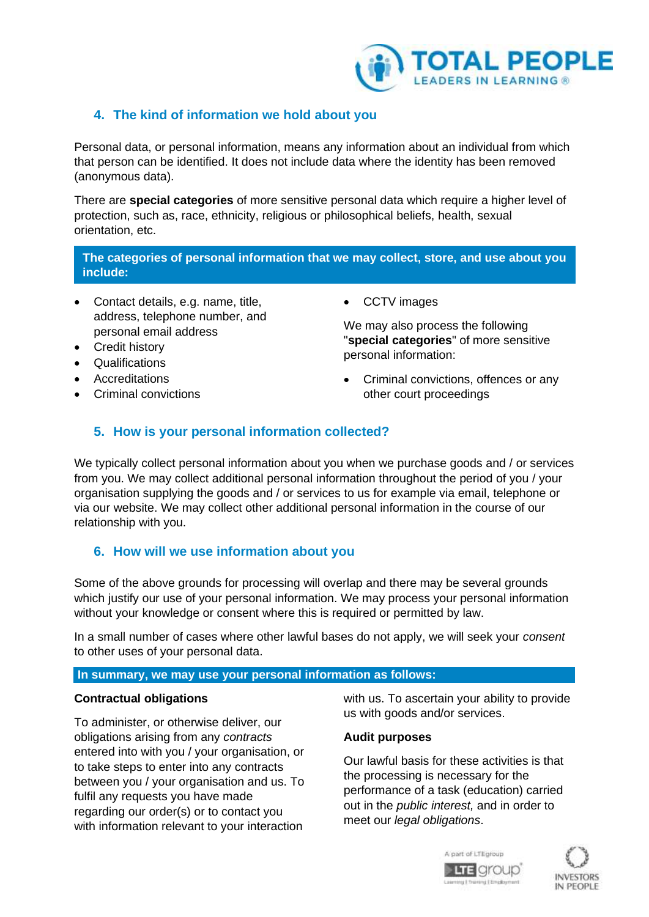

## **4. The kind of information we hold about you**

Personal data, or personal information, means any information about an individual from which that person can be identified. It does not include data where the identity has been removed (anonymous data).

There are **special categories** of more sensitive personal data which require a higher level of protection, such as, race, ethnicity, religious or philosophical beliefs, health, sexual orientation, etc.

**The categories of personal information that we may collect, store, and use about you include:**

- Contact details, e.g. name, title, address, telephone number, and personal email address
- Credit history
- Qualifications
- **Accreditations**
- Criminal convictions

• CCTV images

We may also process the following "**special categories**" of more sensitive personal information:

• Criminal convictions, offences or any other court proceedings

## **5. How is your personal information collected?**

We typically collect personal information about you when we purchase goods and / or services from you. We may collect additional personal information throughout the period of you / your organisation supplying the goods and / or services to us for example via email, telephone or via our website. We may collect other additional personal information in the course of our relationship with you.

## **6. How will we use information about you**

Some of the above grounds for processing will overlap and there may be several grounds which justify our use of your personal information. We may process your personal information without your knowledge or consent where this is required or permitted by law.

In a small number of cases where other lawful bases do not apply, we will seek your *consent* to other uses of your personal data.

#### **In summary, we may use your personal information as follows:**

#### **Contractual obligations**

To administer, or otherwise deliver, our obligations arising from any *contracts* entered into with you / your organisation, or to take steps to enter into any contracts between you / your organisation and us. To fulfil any requests you have made regarding our order(s) or to contact you with information relevant to your interaction

with us. To ascertain your ability to provide us with goods and/or services.

#### **Audit purposes**

Our lawful basis for these activities is that the processing is necessary for the performance of a task (education) carried out in the *public interest,* and in order to meet our *legal obligations*.



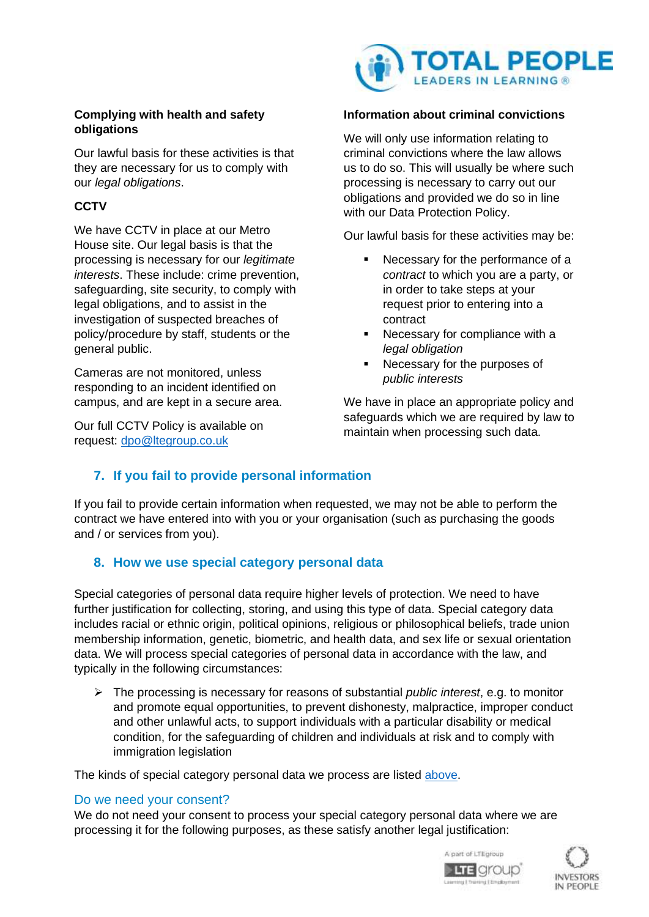#### **Complying with health and safety obligations**

Our lawful basis for these activities is that they are necessary for us to comply with our *legal obligations*.

# **CCTV**

We have CCTV in place at our Metro House site. Our legal basis is that the processing is necessary for our *legitimate interests*. These include: crime prevention, safeguarding, site security, to comply with legal obligations, and to assist in the investigation of suspected breaches of policy/procedure by staff, students or the general public.

Cameras are not monitored, unless responding to an incident identified on campus, and are kept in a secure area.

Our full CCTV Policy is available on request: [dpo@ltegroup.co.uk](mailto:dpo@ltegroup.co.uk)



### **Information about criminal convictions**

We will only use information relating to criminal convictions where the law allows us to do so. This will usually be where such processing is necessary to carry out our obligations and provided we do so in line with our Data Protection Policy.

Our lawful basis for these activities may be:

- Necessary for the performance of a *contract* to which you are a party, or in order to take steps at your request prior to entering into a contract
- Necessary for compliance with a *legal obligation*
- Necessary for the purposes of *public interests*

We have in place an appropriate policy and safeguards which we are required by law to maintain when processing such data.

# **7. If you fail to provide personal information**

If you fail to provide certain information when requested, we may not be able to perform the contract we have entered into with you or your organisation (such as purchasing the goods and / or services from you).

## **8. How we use special category personal data**

Special categories of personal data require higher levels of protection. We need to have further justification for collecting, storing, and using this type of data. Special category data includes racial or ethnic origin, political opinions, religious or philosophical beliefs, trade union membership information, genetic, biometric, and health data, and sex life or sexual orientation data. We will process special categories of personal data in accordance with the law, and typically in the following circumstances:

➢ The processing is necessary for reasons of substantial *public interest*, e.g. to monitor and promote equal opportunities, to prevent dishonesty, malpractice, improper conduct and other unlawful acts, to support individuals with a particular disability or medical condition, for the safeguarding of children and individuals at risk and to comply with immigration legislation

The kinds of special category personal data we process are listed above.

#### Do we need your consent?

We do not need your consent to process your special category personal data where we are processing it for the following purposes, as these satisfy another legal justification:



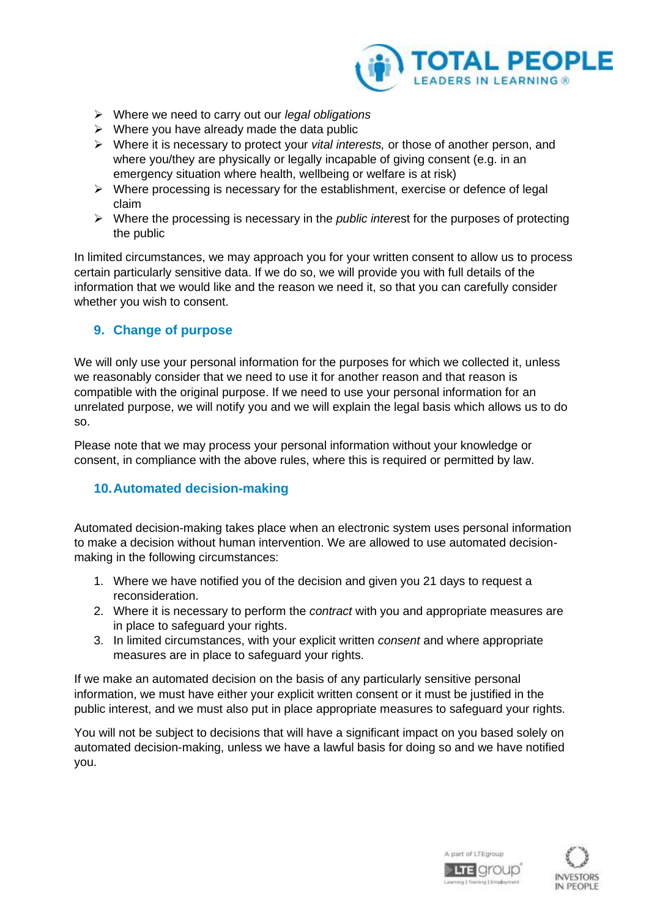

- ➢ Where we need to carry out our *legal obligations*
- $\triangleright$  Where you have already made the data public
- ➢ Where it is necessary to protect your *vital interests,* or those of another person, and where you/they are physically or legally incapable of giving consent (e.g. in an emergency situation where health, wellbeing or welfare is at risk)
- $\triangleright$  Where processing is necessary for the establishment, exercise or defence of legal claim
- ➢ Where the processing is necessary in the *public inter*est for the purposes of protecting the public

In limited circumstances, we may approach you for your written consent to allow us to process certain particularly sensitive data. If we do so, we will provide you with full details of the information that we would like and the reason we need it, so that you can carefully consider whether you wish to consent.

### **9. Change of purpose**

We will only use your personal information for the purposes for which we collected it, unless we reasonably consider that we need to use it for another reason and that reason is compatible with the original purpose. If we need to use your personal information for an unrelated purpose, we will notify you and we will explain the legal basis which allows us to do so.

Please note that we may process your personal information without your knowledge or consent, in compliance with the above rules, where this is required or permitted by law.

## **10.Automated decision-making**

Automated decision-making takes place when an electronic system uses personal information to make a decision without human intervention. We are allowed to use automated decisionmaking in the following circumstances:

- 1. Where we have notified you of the decision and given you 21 days to request a reconsideration.
- 2. Where it is necessary to perform the *contract* with you and appropriate measures are in place to safeguard your rights.
- 3. In limited circumstances, with your explicit written *consent* and where appropriate measures are in place to safeguard your rights.

If we make an automated decision on the basis of any particularly sensitive personal information, we must have either your explicit written consent or it must be justified in the public interest, and we must also put in place appropriate measures to safeguard your rights.

You will not be subject to decisions that will have a significant impact on you based solely on automated decision-making, unless we have a lawful basis for doing so and we have notified you.



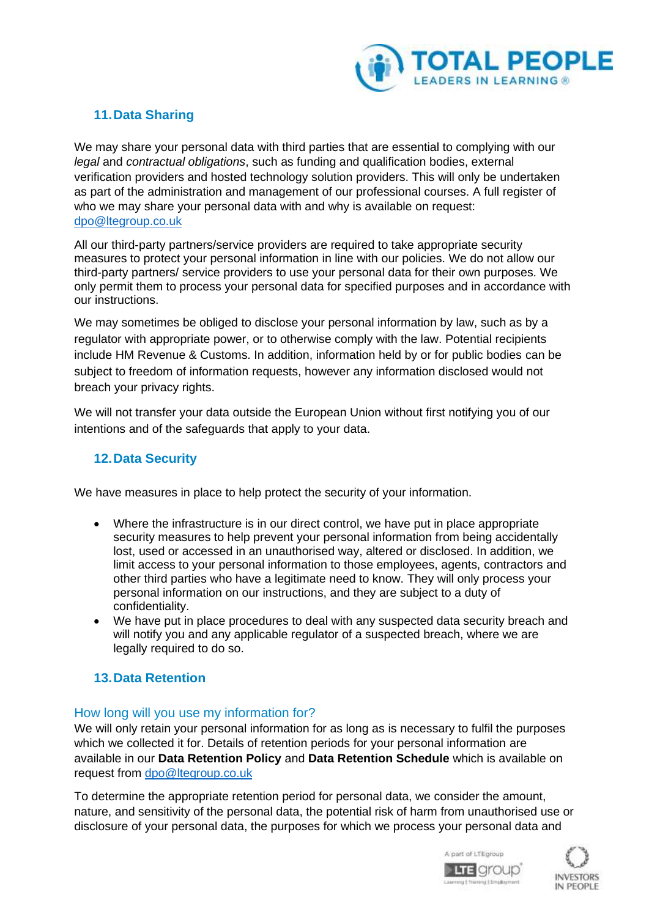

# **11.Data Sharing**

We may share your personal data with third parties that are essential to complying with our *legal* and *contractual obligations*, such as funding and qualification bodies, external verification providers and hosted technology solution providers. This will only be undertaken as part of the administration and management of our professional courses. A full register of who we may share your personal data with and why is available on request: [dpo@ltegroup.co.uk](mailto:dpo@ltegroup.co.uk)

All our third-party partners/service providers are required to take appropriate security measures to protect your personal information in line with our policies. We do not allow our third-party partners/ service providers to use your personal data for their own purposes. We only permit them to process your personal data for specified purposes and in accordance with our instructions.

We may sometimes be obliged to disclose your personal information by law, such as by a regulator with appropriate power, or to otherwise comply with the law. Potential recipients include HM Revenue & Customs. In addition, information held by or for public bodies can be subject to freedom of information requests, however any information disclosed would not breach your privacy rights.

We will not transfer your data outside the European Union without first notifying you of our intentions and of the safeguards that apply to your data.

# **12.Data Security**

We have measures in place to help protect the security of your information.

- Where the infrastructure is in our direct control, we have put in place appropriate security measures to help prevent your personal information from being accidentally lost, used or accessed in an unauthorised way, altered or disclosed. In addition, we limit access to your personal information to those employees, agents, contractors and other third parties who have a legitimate need to know. They will only process your personal information on our instructions, and they are subject to a duty of confidentiality.
- We have put in place procedures to deal with any suspected data security breach and will notify you and any applicable regulator of a suspected breach, where we are legally required to do so.

# **13.Data Retention**

#### How long will you use my information for?

We will only retain your personal information for as long as is necessary to fulfil the purposes which we collected it for. Details of retention periods for your personal information are available in our **Data Retention Policy** and **Data Retention Schedule** which is available on request from [dpo@ltegroup.co.uk](mailto:dpo@ltegroup.co.uk)

To determine the appropriate retention period for personal data, we consider the amount, nature, and sensitivity of the personal data, the potential risk of harm from unauthorised use or disclosure of your personal data, the purposes for which we process your personal data and



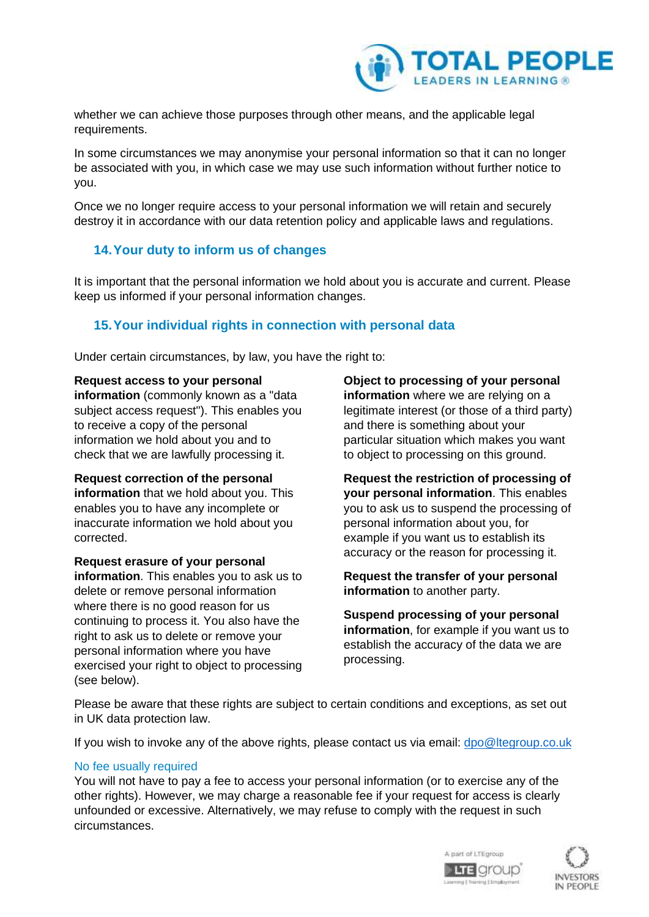

whether we can achieve those purposes through other means, and the applicable legal requirements.

In some circumstances we may anonymise your personal information so that it can no longer be associated with you, in which case we may use such information without further notice to you.

Once we no longer require access to your personal information we will retain and securely destroy it in accordance with our data retention policy and applicable laws and regulations.

### **14.Your duty to inform us of changes**

It is important that the personal information we hold about you is accurate and current. Please keep us informed if your personal information changes.

## **15.Your individual rights in connection with personal data**

Under certain circumstances, by law, you have the right to:

#### **Request access to your personal**

**information** (commonly known as a "data subject access request"). This enables you to receive a copy of the personal information we hold about you and to check that we are lawfully processing it.

**Request correction of the personal information** that we hold about you. This enables you to have any incomplete or inaccurate information we hold about you corrected.

**Request erasure of your personal information**. This enables you to ask us to delete or remove personal information where there is no good reason for us continuing to process it. You also have the right to ask us to delete or remove your personal information where you have exercised your right to object to processing (see below).

**Object to processing of your personal information** where we are relying on a legitimate interest (or those of a third party) and there is something about your particular situation which makes you want to object to processing on this ground.

**Request the restriction of processing of your personal information**. This enables you to ask us to suspend the processing of personal information about you, for example if you want us to establish its accuracy or the reason for processing it.

**Request the transfer of your personal information** to another party.

**Suspend processing of your personal information**, for example if you want us to establish the accuracy of the data we are processing.

Please be aware that these rights are subject to certain conditions and exceptions, as set out in UK data protection law.

If you wish to invoke any of the above rights, please contact us via email: [dpo@ltegroup.co.uk](mailto:dpo@ltegroup.co.uk)

#### No fee usually required

You will not have to pay a fee to access your personal information (or to exercise any of the other rights). However, we may charge a reasonable fee if your request for access is clearly unfounded or excessive. Alternatively, we may refuse to comply with the request in such circumstances.